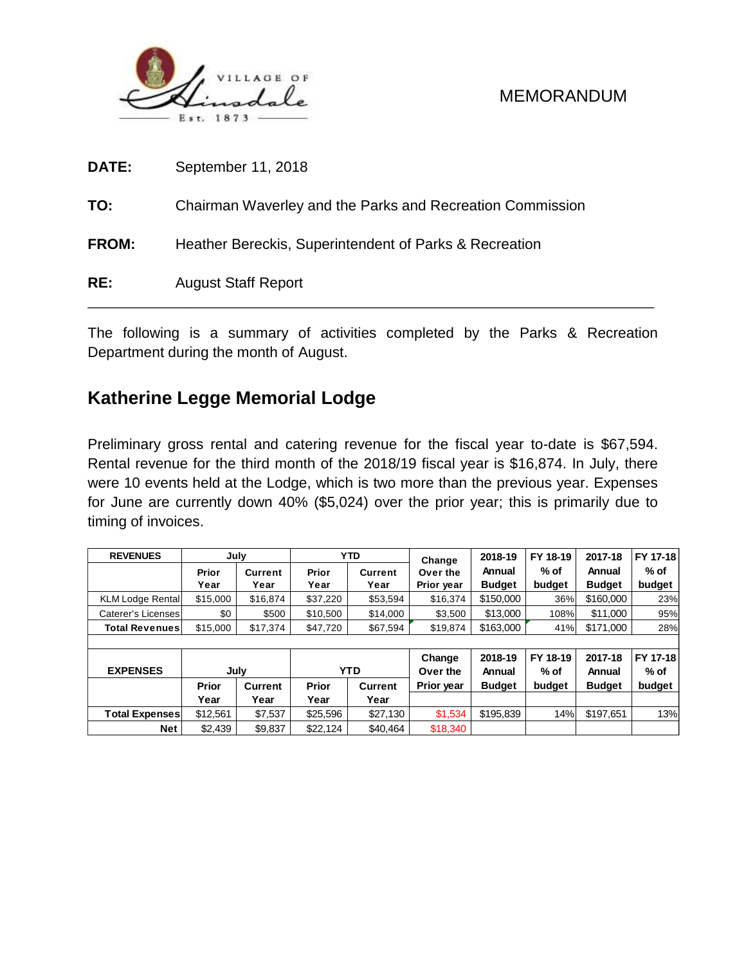

| RE:          | <b>August Staff Report</b>                                |
|--------------|-----------------------------------------------------------|
| <b>FROM:</b> | Heather Bereckis, Superintendent of Parks & Recreation    |
| TO:          | Chairman Waverley and the Parks and Recreation Commission |
| DATE:        | September 11, 2018                                        |

The following is a summary of activities completed by the Parks & Recreation Department during the month of August.

# **Katherine Legge Memorial Lodge**

Preliminary gross rental and catering revenue for the fiscal year to-date is \$67,594. Rental revenue for the third month of the 2018/19 fiscal year is \$16,874. In July, there were 10 events held at the Lodge, which is two more than the previous year. Expenses for June are currently down 40% (\$5,024) over the prior year; this is primarily due to timing of invoices.

| <b>REVENUES</b>         | July     |          |              | <b>YTD</b>     | Change     | 2018-19       | FY 18-19 | 2017-18       | FY 17-18 |  |  |
|-------------------------|----------|----------|--------------|----------------|------------|---------------|----------|---------------|----------|--|--|
|                         | Prior    | Current  | Prior        | <b>Current</b> | Over the   | Annual        | $%$ of   | Annual        | $%$ of   |  |  |
|                         | Year     | Year     | Year         | Year           | Prior year | <b>Budget</b> | budget   | <b>Budget</b> | budget   |  |  |
| <b>KLM Lodge Rental</b> | \$15,000 | \$16,874 | \$37,220     | \$53.594       | \$16.374   | \$150,000     | 36%      | \$160,000     | 23%      |  |  |
| Caterer's Licenses      | \$0      | \$500    | \$10,500     | \$14,000       | \$3.500    | \$13,000      | 108%     | \$11,000      | 95%      |  |  |
| <b>Total Revenues</b>   | \$15,000 | \$17,374 | \$47,720     | \$67,594       | \$19,874   | \$163,000     | 41%      | \$171,000     | 28%      |  |  |
|                         |          |          |              |                |            |               |          |               |          |  |  |
|                         |          |          |              |                | Change     | 2018-19       | FY 18-19 | 2017-18       | FY 17-18 |  |  |
| <b>EXPENSES</b>         | July     |          | <b>YTD</b>   |                | Over the   | Annual        | $%$ of   | Annual        | $%$ of   |  |  |
|                         | Prior    | Current  | <b>Prior</b> | Current        | Prior year | <b>Budget</b> | budget   | <b>Budget</b> | budget   |  |  |
|                         | Year     | Year     | Year         | Year           |            |               |          |               |          |  |  |
| <b>Total Expenses</b>   | \$12,561 | \$7,537  | \$25,596     | \$27,130       | \$1,534    | \$195,839     | 14%      | \$197,651     | 13%      |  |  |
| Net                     | \$2,439  | \$9,837  | \$22,124     | \$40.464       | \$18,340   |               |          |               |          |  |  |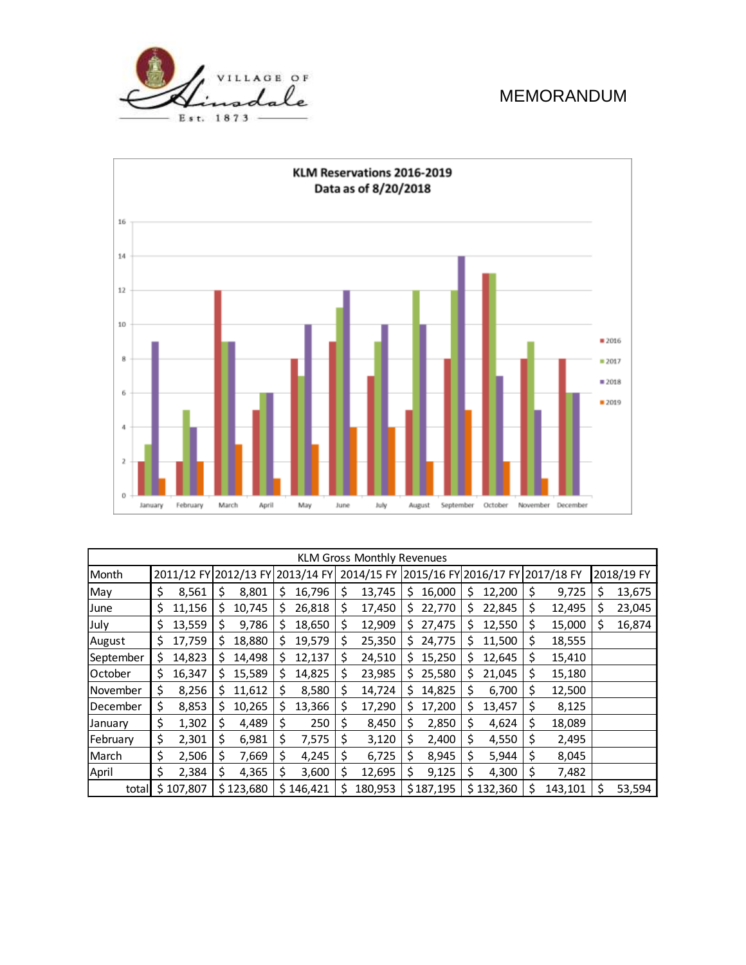



| <b>KLM Gross Monthly Revenues</b> |    |           |    |           |                                  |           |            |         |    |           |                       |           |            |         |            |        |
|-----------------------------------|----|-----------|----|-----------|----------------------------------|-----------|------------|---------|----|-----------|-----------------------|-----------|------------|---------|------------|--------|
| Month                             |    |           |    |           | 2011/12 FY 2012/13 FY 2013/14 FY |           | 2014/15 FY |         |    |           | 2015/16 FY 2016/17 FY |           | 2017/18 FY |         | 2018/19 FY |        |
| May                               | \$ | 8,561     | S  | 8,801     | Ş                                | 16,796    | \$         | 13,745  | \$ | 16,000    | S                     | 12,200    | Ş          | 9,725   | S          | 13,675 |
| June                              | \$ | 11,156    | \$ | 10,745    | S                                | 26,818    | \$         | 17,450  | \$ | 22,770    | S                     | 22,845    | \$         | 12,495  | S          | 23,045 |
| July                              | \$ | 13,559    | \$ | 9,786     | S                                | 18,650    | \$         | 12,909  | S  | 27,475    | S                     | 12,550    | \$         | 15,000  | \$         | 16,874 |
| August                            | \$ | 17,759    | \$ | 18,880    | S                                | 19,579    | \$         | 25,350  | S  | 24,775    | Ş                     | 11,500    | \$         | 18,555  |            |        |
| September                         | \$ | 14,823    | S  | 14,498    | S                                | 12,137    | \$         | 24,510  | S  | 15,250    | S                     | 12,645    | \$         | 15,410  |            |        |
| October                           | \$ | 16,347    | S  | 15,589    | S                                | 14,825    | S          | 23,985  | \$ | 25,580    | S                     | 21,045    | \$         | 15,180  |            |        |
| November                          | \$ | 8,256     | S  | 11,612    | S                                | 8,580     | S          | 14,724  | Ś  | 14,825    | S                     | 6,700     | Ś.         | 12,500  |            |        |
| December                          | \$ | 8,853     | S  | 10,265    | Ś                                | 13,366    | \$         | 17,290  | S  | 17,200    | \$                    | 13,457    | \$         | 8,125   |            |        |
| January                           | \$ | 1,302     | \$ | 4,489     | \$                               | 250       | \$         | 8,450   | \$ | 2,850     | \$                    | 4,624     | \$         | 18,089  |            |        |
| February                          | \$ | 2,301     | \$ | 6,981     | \$                               | 7,575     | \$         | 3,120   | \$ | 2,400     | \$                    | 4,550     | \$         | 2,495   |            |        |
| March                             | \$ | 2,506     | \$ | 7,669     | \$                               | 4,245     | \$         | 6,725   | \$ | 8,945     | \$                    | 5,944     | \$         | 8,045   |            |        |
| April                             | \$ | 2,384     | \$ | 4,365     | S                                | 3,600     | \$         | 12,695  | \$ | 9,125     | \$                    | 4,300     | S          | 7,482   |            |        |
| total                             |    | \$107,807 |    | \$123,680 |                                  | \$146,421 | S          | 180,953 |    | \$187,195 |                       | \$132,360 | S          | 143,101 |            | 53,594 |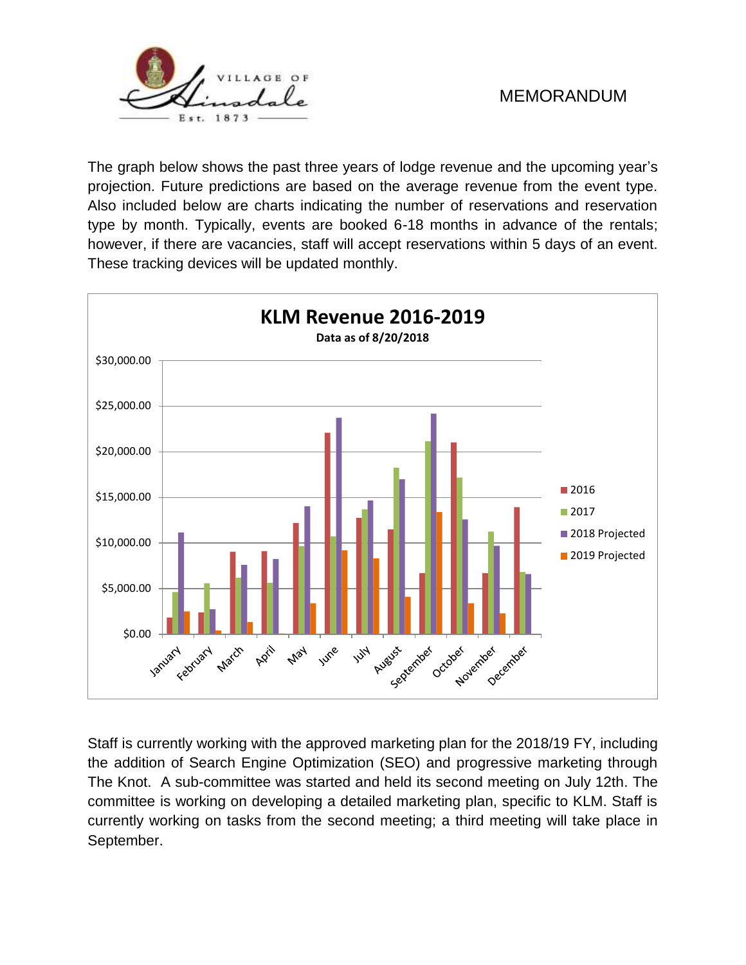

The graph below shows the past three years of lodge revenue and the upcoming year's projection. Future predictions are based on the average revenue from the event type. Also included below are charts indicating the number of reservations and reservation type by month. Typically, events are booked 6-18 months in advance of the rentals; however, if there are vacancies, staff will accept reservations within 5 days of an event. These tracking devices will be updated monthly.



Staff is currently working with the approved marketing plan for the 2018/19 FY, including the addition of Search Engine Optimization (SEO) and progressive marketing through The Knot. A sub-committee was started and held its second meeting on July 12th. The committee is working on developing a detailed marketing plan, specific to KLM. Staff is currently working on tasks from the second meeting; a third meeting will take place in September.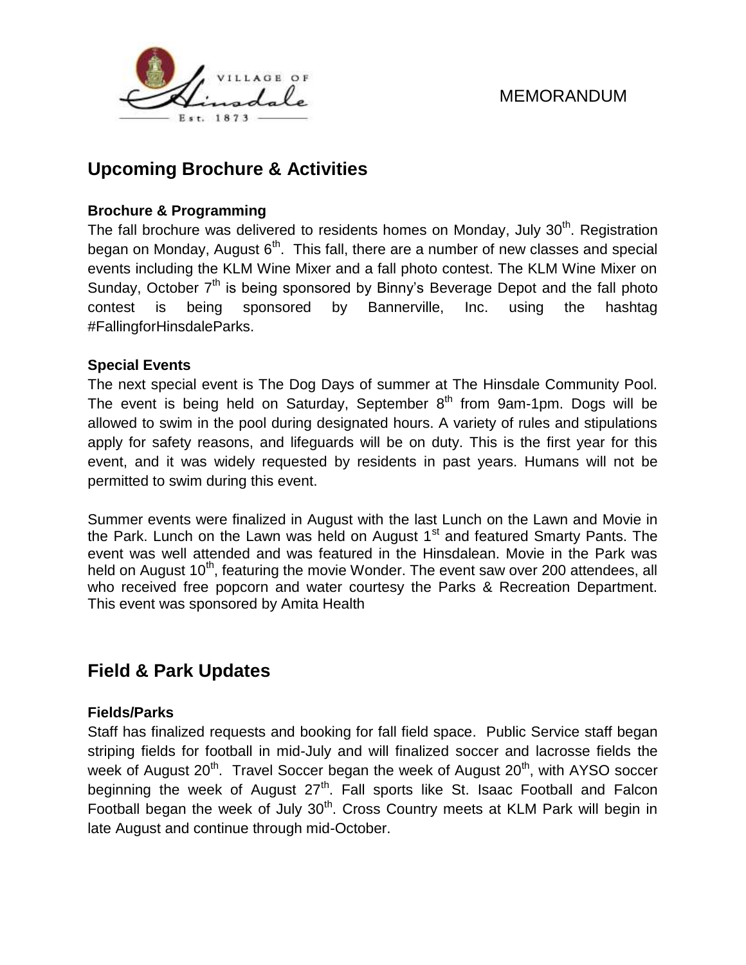



# **Upcoming Brochure & Activities**

### **Brochure & Programming**

The fall brochure was delivered to residents homes on Monday, July  $30<sup>th</sup>$ . Registration began on Monday, August 6<sup>th</sup>. This fall, there are a number of new classes and special events including the KLM Wine Mixer and a fall photo contest. The KLM Wine Mixer on Sunday, October  $7<sup>th</sup>$  is being sponsored by Binny's Beverage Depot and the fall photo contest is being sponsored by Bannerville, Inc. using the hashtag #FallingforHinsdaleParks.

#### **Special Events**

The next special event is The Dog Days of summer at The Hinsdale Community Pool. The event is being held on Saturday, September  $8<sup>th</sup>$  from 9am-1pm. Dogs will be allowed to swim in the pool during designated hours. A variety of rules and stipulations apply for safety reasons, and lifeguards will be on duty. This is the first year for this event, and it was widely requested by residents in past years. Humans will not be permitted to swim during this event.

Summer events were finalized in August with the last Lunch on the Lawn and Movie in the Park. Lunch on the Lawn was held on August  $1<sup>st</sup>$  and featured Smarty Pants. The event was well attended and was featured in the Hinsdalean. Movie in the Park was held on August 10<sup>th</sup>, featuring the movie Wonder. The event saw over 200 attendees, all who received free popcorn and water courtesy the Parks & Recreation Department. This event was sponsored by Amita Health

# **Field & Park Updates**

#### **Fields/Parks**

Staff has finalized requests and booking for fall field space. Public Service staff began striping fields for football in mid-July and will finalized soccer and lacrosse fields the week of August 20<sup>th</sup>. Travel Soccer began the week of August 20<sup>th</sup>, with AYSO soccer beginning the week of August 27<sup>th</sup>. Fall sports like St. Isaac Football and Falcon Football began the week of July  $30<sup>th</sup>$ . Cross Country meets at KLM Park will begin in late August and continue through mid-October.